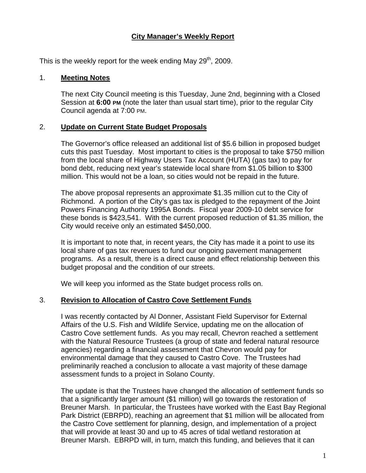### **City Manager's Weekly Report**

This is the weekly report for the week ending May  $29<sup>th</sup>$ , 2009.

#### 1. **Meeting Notes**

The next City Council meeting is this Tuesday, June 2nd, beginning with a Closed Session at **6:00 PM** (note the later than usual start time), prior to the regular City Council agenda at 7:00 PM.

#### 2. **Update on Current State Budget Proposals**

The Governor's office released an additional list of \$5.6 billion in proposed budget cuts this past Tuesday. Most important to cities is the proposal to take \$750 million from the local share of Highway Users Tax Account (HUTA) (gas tax) to pay for bond debt, reducing next year's statewide local share from \$1.05 billion to \$300 million. This would not be a loan, so cities would not be repaid in the future.

The above proposal represents an approximate \$1.35 million cut to the City of Richmond. A portion of the City's gas tax is pledged to the repayment of the Joint Powers Financing Authority 1995A Bonds. Fiscal year 2009-10 debt service for these bonds is \$423,541. With the current proposed reduction of \$1.35 million, the City would receive only an estimated \$450,000.

It is important to note that, in recent years, the City has made it a point to use its local share of gas tax revenues to fund our ongoing pavement management programs. As a result, there is a direct cause and effect relationship between this budget proposal and the condition of our streets.

We will keep you informed as the State budget process rolls on.

### 3. **Revision to Allocation of Castro Cove Settlement Funds**

I was recently contacted by Al Donner, Assistant Field Supervisor for External Affairs of the U.S. Fish and Wildlife Service, updating me on the allocation of Castro Cove settlement funds. As you may recall, Chevron reached a settlement with the Natural Resource Trustees (a group of state and federal natural resource agencies) regarding a financial assessment that Chevron would pay for environmental damage that they caused to Castro Cove. The Trustees had preliminarily reached a conclusion to allocate a vast majority of these damage assessment funds to a project in Solano County.

The update is that the Trustees have changed the allocation of settlement funds so that a significantly larger amount (\$1 million) will go towards the restoration of Breuner Marsh. In particular, the Trustees have worked with the East Bay Regional Park District (EBRPD), reaching an agreement that \$1 million will be allocated from the Castro Cove settlement for planning, design, and implementation of a project that will provide at least 30 and up to 45 acres of tidal wetland restoration at Breuner Marsh. EBRPD will, in turn, match this funding, and believes that it can